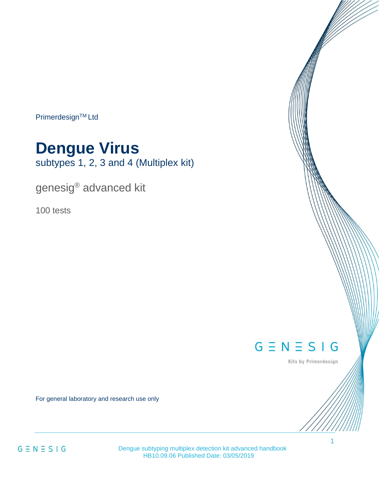Primerdesign™ Ltd

# **Dengue Virus**

subtypes 1, 2, 3 and 4 (Multiplex kit)

genesig® advanced kit

100 tests

# $G \equiv N \equiv S \mid G$

Kits by Primerdesign

For general laboratory and research use only

 $G \equiv N \equiv S \mid G$ 

Dengue subtyping multiplex detection kit advanced handbook HB10.09.06 Published Date: 03/05/2019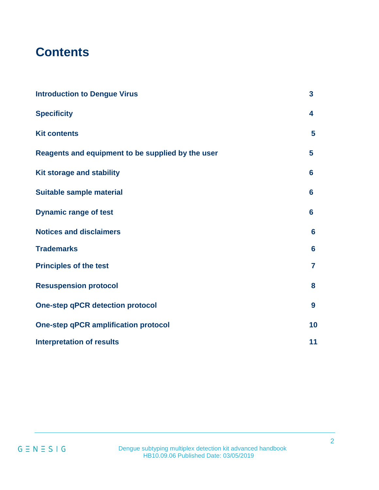# **Contents**

| <b>Introduction to Dengue Virus</b>               | $\overline{\mathbf{3}}$ |
|---------------------------------------------------|-------------------------|
| <b>Specificity</b>                                | 4                       |
| <b>Kit contents</b>                               | 5                       |
| Reagents and equipment to be supplied by the user | 5                       |
| Kit storage and stability                         | 6                       |
| Suitable sample material                          | 6                       |
| <b>Dynamic range of test</b>                      | 6                       |
| <b>Notices and disclaimers</b>                    | 6                       |
| <b>Trademarks</b>                                 | 6                       |
| <b>Principles of the test</b>                     | $\overline{7}$          |
| <b>Resuspension protocol</b>                      | 8                       |
| <b>One-step qPCR detection protocol</b>           | 9                       |
| <b>One-step qPCR amplification protocol</b>       | 10                      |
| <b>Interpretation of results</b>                  | 11                      |

 $G \equiv N \equiv S \mid G$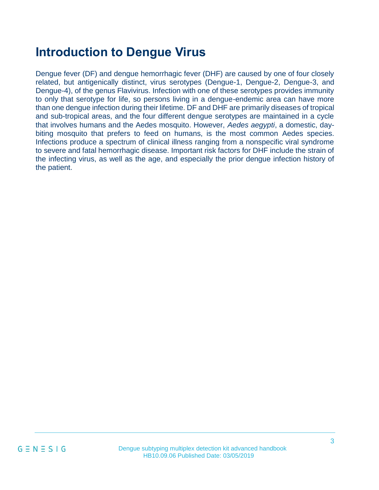# <span id="page-2-0"></span>**Introduction to Dengue Virus**

Dengue fever (DF) and dengue hemorrhagic fever (DHF) are caused by one of four closely related, but antigenically distinct, virus serotypes (Dengue-1, Dengue-2, Dengue-3, and Dengue-4), of the genus Flavivirus. Infection with one of these serotypes provides immunity to only that serotype for life, so persons living in a dengue-endemic area can have more than one dengue infection during their lifetime. DF and DHF are primarily diseases of tropical and sub-tropical areas, and the four different dengue serotypes are maintained in a cycle that involves humans and the Aedes mosquito. However, *Aedes aegypti*, a domestic, daybiting mosquito that prefers to feed on humans, is the most common Aedes species. Infections produce a spectrum of clinical illness ranging from a nonspecific viral syndrome to severe and fatal hemorrhagic disease. Important risk factors for DHF include the strain of the infecting virus, as well as the age, and especially the prior dengue infection history of the patient.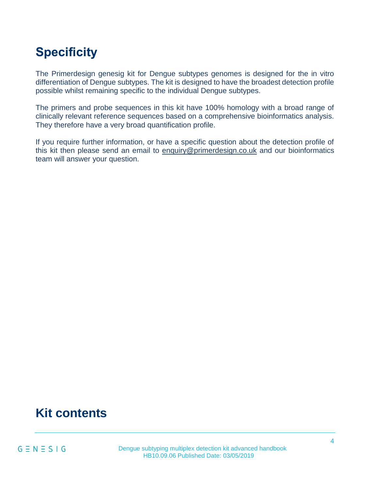# <span id="page-3-0"></span>**Specificity**

The Primerdesign genesig kit for Dengue subtypes genomes is designed for the in vitro differentiation of Dengue subtypes. The kit is designed to have the broadest detection profile possible whilst remaining specific to the individual Dengue subtypes.

The primers and probe sequences in this kit have 100% homology with a broad range of clinically relevant reference sequences based on a comprehensive bioinformatics analysis. They therefore have a very broad quantification profile.

<span id="page-3-1"></span>If you require further information, or have a specific question about the detection profile of this kit then please send an email to [enquiry@primerdesign.co.uk](mailto:enquiry@primerdesign.co.uk) and our bioinformatics team will answer your question.

### **Kit contents**

 $G \equiv N \equiv S \mid G$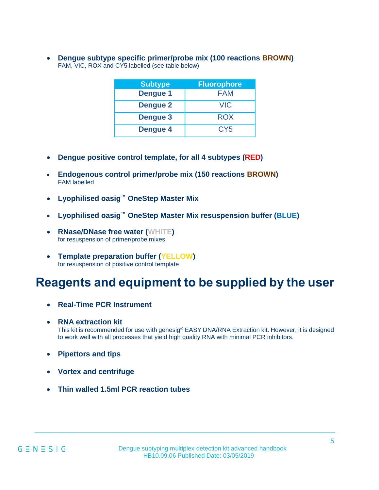• **Dengue subtype specific primer/probe mix (100 reactions BROWN)** FAM, VIC, ROX and CY5 labelled (see table below)

| <b>Subtype</b>  | <b>Fluorophore</b> |
|-----------------|--------------------|
| <b>Dengue 1</b> | <b>FAM</b>         |
| <b>Dengue 2</b> | VIC                |
| <b>Dengue 3</b> | <b>ROX</b>         |
| <b>Dengue 4</b> | CY <sub>5</sub>    |

- **Dengue positive control template, for all 4 subtypes (RED)**
- **Endogenous control primer/probe mix (150 reactions BROWN)** FAM labelled
- **Lyophilised oasig™ OneStep Master Mix**
- **Lyophilised oasig™ OneStep Master Mix resuspension buffer (BLUE)**
- **RNase/DNase free water (WHITE)** for resuspension of primer/probe mixes
- **Template preparation buffer (YELLOW)** for resuspension of positive control template

### **Reagents and equipment to be supplied by the user**

- **Real-Time PCR Instrument**
- **RNA extraction kit** This kit is recommended for use with genesig® EASY DNA/RNA Extraction kit. However, it is designed to work well with all processes that yield high quality RNA with minimal PCR inhibitors.
- **Pipettors and tips**
- **Vortex and centrifuge**
- **Thin walled 1.5ml PCR reaction tubes**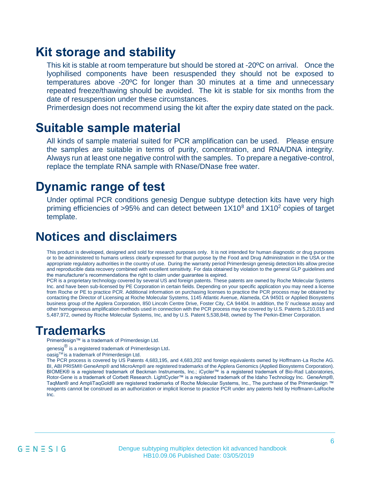### **Kit storage and stability**

This kit is stable at room temperature but should be stored at -20ºC on arrival. Once the lyophilised components have been resuspended they should not be exposed to temperatures above -20ºC for longer than 30 minutes at a time and unnecessary repeated freeze/thawing should be avoided. The kit is stable for six months from the date of resuspension under these circumstances.

Primerdesign does not recommend using the kit after the expiry date stated on the pack.

### <span id="page-5-1"></span>**Suitable sample material**

All kinds of sample material suited for PCR amplification can be used. Please ensure the samples are suitable in terms of purity, concentration, and RNA/DNA integrity. Always run at least one negative control with the samples. To prepare a negative-control, replace the template RNA sample with RNase/DNase free water.

### <span id="page-5-2"></span>**Dynamic range of test**

Under optimal PCR conditions genesig Dengue subtype detection kits have very high priming efficiencies of  $>95\%$  and can detect between  $1X10^8$  and  $1X10^2$  copies of target template.

### <span id="page-5-0"></span>**Notices and disclaimers**

This product is developed, designed and sold for research purposes only. It is not intended for human diagnostic or drug purposes or to be administered to humans unless clearly expressed for that purpose by the Food and Drug Administration in the USA or the appropriate regulatory authorities in the country of use. During the warranty period Primerdesign genesig detection kits allow precise and reproducible data recovery combined with excellent sensitivity. For data obtained by violation to the general GLP guidelines and the manufacturer's recommendations the right to claim under guarantee is expired.

PCR is a proprietary technology covered by several US and foreign patents. These patents are owned by Roche Molecular Systems Inc. and have been sub-licensed by PE Corporation in certain fields. Depending on your specific application you may need a license from Roche or PE to practice PCR. Additional information on purchasing licenses to practice the PCR process may be obtained by contacting the Director of Licensing at Roche Molecular Systems, 1145 Atlantic Avenue, Alameda, CA 94501 or Applied Biosystems business group of the Applera Corporation, 850 Lincoln Centre Drive, Foster City, CA 94404. In addition, the 5' nuclease assay and other homogeneous amplification methods used in connection with the PCR process may be covered by U.S. Patents 5,210,015 and 5,487,972, owned by Roche Molecular Systems, Inc, and by U.S. Patent 5,538,848, owned by The Perkin-Elmer Corporation.

### **Trademarks**

Primerdesign™ is a trademark of Primerdesign Ltd.

genesig<sup>®</sup> is a registered trademark of Primerdesign Ltd.

oasigTM is a trademark of Primerdesign Ltd.

The PCR process is covered by US Patents 4,683,195, and 4,683,202 and foreign equivalents owned by Hoffmann-La Roche AG. BI, ABI PRISM® GeneAmp® and MicroAmp® are registered trademarks of the Applera Genomics (Applied Biosystems Corporation). BIOMEK® is a registered trademark of Beckman Instruments, Inc.; iCycler™ is a registered trademark of Bio-Rad Laboratories, Rotor-Gene is a trademark of Corbett Research. LightCycler™ is a registered trademark of the Idaho Technology Inc. GeneAmp®, TaqMan® and AmpliTaqGold® are registered trademarks of Roche Molecular Systems, Inc., The purchase of the Primerdesign ™ reagents cannot be construed as an authorization or implicit license to practice PCR under any patents held by Hoffmann-LaRoche Inc.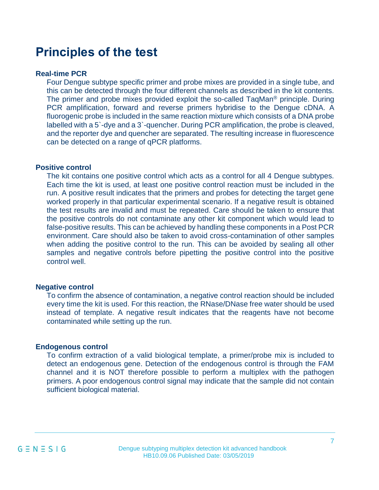### **Principles of the test**

#### **Real-time PCR**

Four Dengue subtype specific primer and probe mixes are provided in a single tube, and this can be detected through the four different channels as described in the kit contents. The primer and probe mixes provided exploit the so-called TaqMan® principle. During PCR amplification, forward and reverse primers hybridise to the Dengue cDNA. A fluorogenic probe is included in the same reaction mixture which consists of a DNA probe labelled with a 5`-dye and a 3`-quencher. During PCR amplification, the probe is cleaved, and the reporter dye and quencher are separated. The resulting increase in fluorescence can be detected on a range of qPCR platforms.

#### **Positive control**

The kit contains one positive control which acts as a control for all 4 Dengue subtypes. Each time the kit is used, at least one positive control reaction must be included in the run. A positive result indicates that the primers and probes for detecting the target gene worked properly in that particular experimental scenario. If a negative result is obtained the test results are invalid and must be repeated. Care should be taken to ensure that the positive controls do not contaminate any other kit component which would lead to false-positive results. This can be achieved by handling these components in a Post PCR environment. Care should also be taken to avoid cross-contamination of other samples when adding the positive control to the run. This can be avoided by sealing all other samples and negative controls before pipetting the positive control into the positive control well.

#### **Negative control**

To confirm the absence of contamination, a negative control reaction should be included every time the kit is used. For this reaction, the RNase/DNase free water should be used instead of template. A negative result indicates that the reagents have not become contaminated while setting up the run.

#### **Endogenous control**

To confirm extraction of a valid biological template, a primer/probe mix is included to detect an endogenous gene. Detection of the endogenous control is through the FAM channel and it is NOT therefore possible to perform a multiplex with the pathogen primers. A poor endogenous control signal may indicate that the sample did not contain sufficient biological material.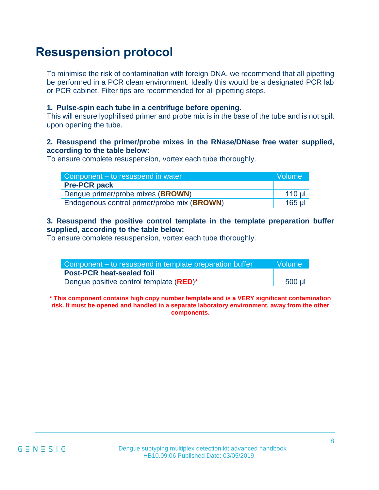### <span id="page-7-0"></span>**Resuspension protocol**

To minimise the risk of contamination with foreign DNA, we recommend that all pipetting be performed in a PCR clean environment. Ideally this would be a designated PCR lab or PCR cabinet. Filter tips are recommended for all pipetting steps.

#### **1. Pulse-spin each tube in a centrifuge before opening.**

This will ensure lyophilised primer and probe mix is in the base of the tube and is not spilt upon opening the tube.

#### **2. Resuspend the primer/probe mixes in the RNase/DNase free water supplied, according to the table below:**

To ensure complete resuspension, vortex each tube thoroughly.

| Component – to resuspend in water           |          |  |
|---------------------------------------------|----------|--|
| <b>Pre-PCR pack</b>                         |          |  |
| Dengue primer/probe mixes (BROWN)           | $110$ ul |  |
| Endogenous control primer/probe mix (BROWN) | 165 µI   |  |

#### **3. Resuspend the positive control template in the template preparation buffer supplied, according to the table below:**

To ensure complete resuspension, vortex each tube thoroughly.

| Component – to resuspend in template preparation buffer | <b>Nolume</b> |
|---------------------------------------------------------|---------------|
| Post-PCR heat-sealed foil                               |               |
| Dengue positive control template ( <b>RED</b> )*        | 500 µl        |

**\* This component contains high copy number template and is a VERY significant contamination risk. It must be opened and handled in a separate laboratory environment, away from the other components.**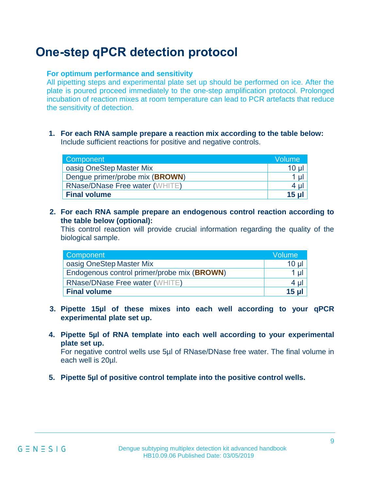### <span id="page-8-0"></span>**One-step qPCR detection protocol**

#### **For optimum performance and sensitivity**

All pipetting steps and experimental plate set up should be performed on ice. After the plate is poured proceed immediately to the one-step amplification protocol. Prolonged incubation of reaction mixes at room temperature can lead to PCR artefacts that reduce the sensitivity of detection.

**1. For each RNA sample prepare a reaction mix according to the table below:**  Include sufficient reactions for positive and negative controls.

| Component                             | Volume |
|---------------------------------------|--------|
| oasig OneStep Master Mix              | 10 µl  |
| Dengue primer/probe mix (BROWN)       | 1 µl   |
| <b>RNase/DNase Free water (WHITE)</b> | 4 ul   |
| <b>Final volume</b>                   | 15 u   |

**2. For each RNA sample prepare an endogenous control reaction according to the table below (optional):** 

This control reaction will provide crucial information regarding the quality of the biological sample.

| Component                                   | Volume           |
|---------------------------------------------|------------------|
| oasig OneStep Master Mix                    | 10 <sub>µ</sub>  |
| Endogenous control primer/probe mix (BROWN) | 1 <sub>µ</sub>   |
| <b>RNase/DNase Free water (WHITE)</b>       | 4 µl             |
| <b>Final volume</b>                         | 15 <sub>ul</sub> |

- **3. Pipette 15µl of these mixes into each well according to your qPCR experimental plate set up.**
- **4. Pipette 5µl of RNA template into each well according to your experimental plate set up.**

For negative control wells use 5µl of RNase/DNase free water. The final volume in each well is 20µl.

**5. Pipette 5µl of positive control template into the positive control wells.**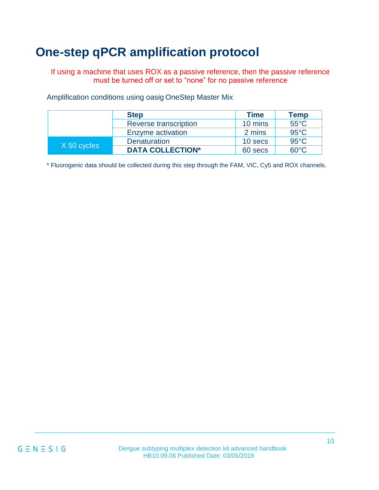# **One-step qPCR amplification protocol**

Amplification conditions using oasig OneStep Master Mix

If using a machine that uses ROX as a passive reference, then the passive reference must be turned off or set to "none" for no passive reference

| <b>Step</b> | <b>Time</b> | <b>Temp</b> |
|-------------|-------------|-------------|

|             | <b>Step</b>             | <b>l</b> ime | <b>lemp</b>    |
|-------------|-------------------------|--------------|----------------|
|             | Reverse transcription   | 10 mins      | $55^{\circ}$ C |
|             | Enzyme activation       | 2 mins       | $95^{\circ}$ C |
| X 50 cycles | <b>Denaturation</b>     | 10 secs      | $95^{\circ}$ C |
|             | <b>DATA COLLECTION*</b> | 60 secs      | $60^{\circ}$ C |

\* Fluorogenic data should be collected during this step through the FAM, VIC, Cy5 and ROX channels.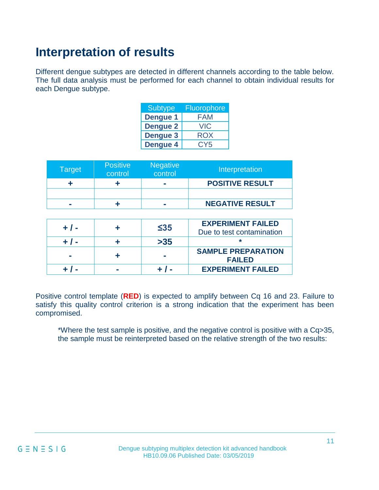# **Interpretation of results**

Different dengue subtypes are detected in different channels according to the table below. The full data analysis must be performed for each channel to obtain individual results for each Dengue subtype.

| <b>Subtype</b>  | <b>Fluorophore</b> |
|-----------------|--------------------|
| <b>Dengue 1</b> | FAM                |
| <b>Dengue 2</b> | <b>VIC</b>         |
| <b>Dengue 3</b> | ROX                |
| <b>Dengue 4</b> | CY <sub>5</sub>    |

| Target | <b>Positive</b><br>control | <b>Negative</b><br>control | Interpretation         |
|--------|----------------------------|----------------------------|------------------------|
|        |                            | <b>COL</b>                 | <b>POSITIVE RESULT</b> |
|        |                            |                            |                        |
|        |                            |                            | <b>NEGATIVE RESULT</b> |

|  | $\leq$ 35 | <b>EXPERIMENT FAILED</b><br>Due to test contamination |
|--|-----------|-------------------------------------------------------|
|  | >35       |                                                       |
|  |           | <b>SAMPLE PREPARATION</b><br><b>FAILED</b>            |
|  |           | <b>EXPERIMENT FAILED</b>                              |

Positive control template (**RED**) is expected to amplify between Cq 16 and 23. Failure to satisfy this quality control criterion is a strong indication that the experiment has been compromised.

\*Where the test sample is positive, and the negative control is positive with a Cq>35, the sample must be reinterpreted based on the relative strength of the two results: